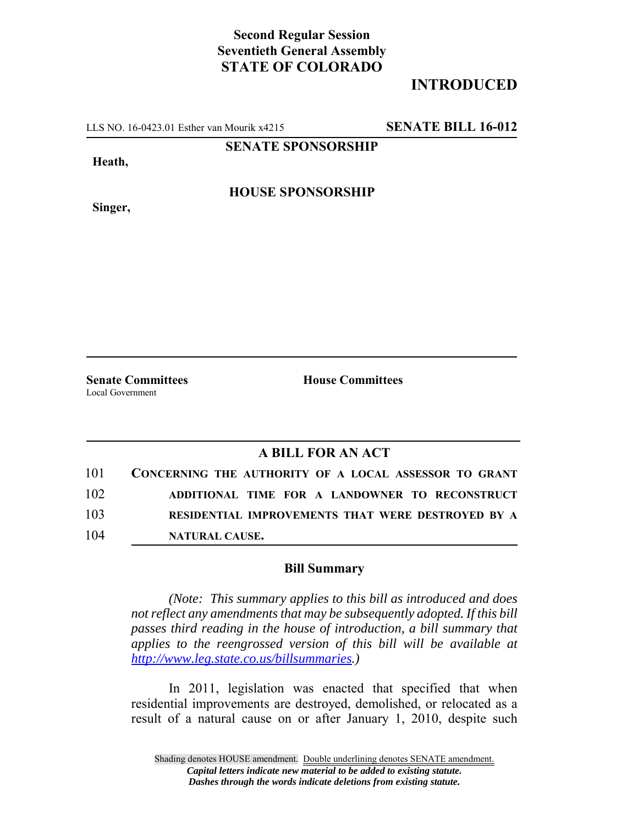## **Second Regular Session Seventieth General Assembly STATE OF COLORADO**

## **INTRODUCED**

LLS NO. 16-0423.01 Esther van Mourik x4215 **SENATE BILL 16-012**

**SENATE SPONSORSHIP**

**Heath,**

**Singer,**

**HOUSE SPONSORSHIP**

Local Government

**Senate Committees House Committees** 

## **A BILL FOR AN ACT**

| 101 | CONCERNING THE AUTHORITY OF A LOCAL ASSESSOR TO GRANT |
|-----|-------------------------------------------------------|
| 102 | ADDITIONAL TIME FOR A LANDOWNER TO RECONSTRUCT        |
| 103 | RESIDENTIAL IMPROVEMENTS THAT WERE DESTROYED BY A     |
| 104 | <b>NATURAL CAUSE.</b>                                 |

## **Bill Summary**

*(Note: This summary applies to this bill as introduced and does not reflect any amendments that may be subsequently adopted. If this bill passes third reading in the house of introduction, a bill summary that applies to the reengrossed version of this bill will be available at http://www.leg.state.co.us/billsummaries.)*

In 2011, legislation was enacted that specified that when residential improvements are destroyed, demolished, or relocated as a result of a natural cause on or after January 1, 2010, despite such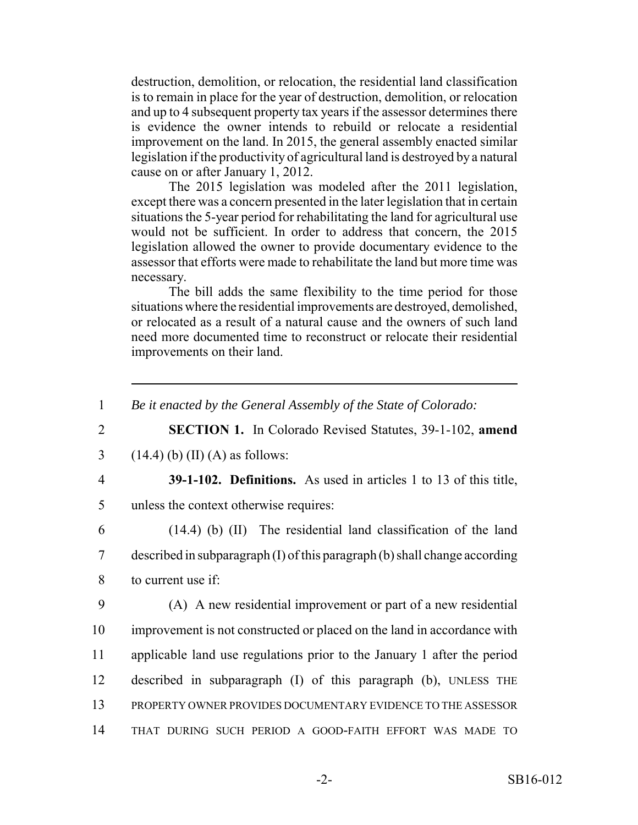destruction, demolition, or relocation, the residential land classification is to remain in place for the year of destruction, demolition, or relocation and up to 4 subsequent property tax years if the assessor determines there is evidence the owner intends to rebuild or relocate a residential improvement on the land. In 2015, the general assembly enacted similar legislation if the productivity of agricultural land is destroyed by a natural cause on or after January 1, 2012.

The 2015 legislation was modeled after the 2011 legislation, except there was a concern presented in the later legislation that in certain situations the 5-year period for rehabilitating the land for agricultural use would not be sufficient. In order to address that concern, the 2015 legislation allowed the owner to provide documentary evidence to the assessor that efforts were made to rehabilitate the land but more time was necessary.

The bill adds the same flexibility to the time period for those situations where the residential improvements are destroyed, demolished, or relocated as a result of a natural cause and the owners of such land need more documented time to reconstruct or relocate their residential improvements on their land.

1 *Be it enacted by the General Assembly of the State of Colorado:*

2 **SECTION 1.** In Colorado Revised Statutes, 39-1-102, **amend**

3 (14.4) (b) (II) (A) as follows:

4 **39-1-102. Definitions.** As used in articles 1 to 13 of this title, 5 unless the context otherwise requires:

6 (14.4) (b) (II) The residential land classification of the land 7 described in subparagraph (I) of this paragraph (b) shall change according 8 to current use if:

 (A) A new residential improvement or part of a new residential improvement is not constructed or placed on the land in accordance with applicable land use regulations prior to the January 1 after the period described in subparagraph (I) of this paragraph (b), UNLESS THE PROPERTY OWNER PROVIDES DOCUMENTARY EVIDENCE TO THE ASSESSOR THAT DURING SUCH PERIOD A GOOD-FAITH EFFORT WAS MADE TO